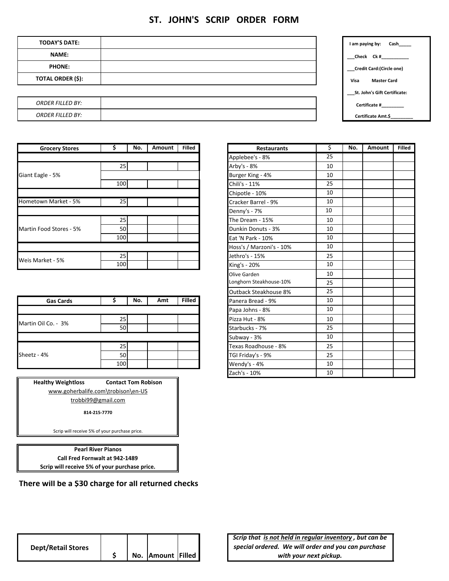## **ST. JOHN'S SCRIP ORDER FORM**

| <b>TODAY'S DATE:</b>     |  | Cash______<br>I am paying by: |
|--------------------------|--|-------------------------------|
| <b>NAME:</b>             |  | ${\sf Check}$ Ck # ${\sf L}$  |
| <b>PHONE:</b>            |  | Credit Card: (Circle one)     |
| <b>TOTAL ORDER (\$):</b> |  | Visa<br><b>Master Card</b>    |
|                          |  | St. John's Gift Certificate:  |
| <b>ORDER FILLED BY:</b>  |  | Certificate #_________        |
| <b>ORDER FILLED BY:</b>  |  | Certificate Amt.\$_________   |

| <b>Grocery Stores</b>   |     | No. | Amount | <b>Filled</b> |
|-------------------------|-----|-----|--------|---------------|
|                         |     |     |        |               |
|                         | 25  |     |        |               |
| Giant Eagle - 5%        |     |     |        |               |
|                         | 100 |     |        |               |
|                         |     |     |        |               |
| Hometown Market - 5%    | 25  |     |        |               |
|                         |     |     |        |               |
|                         | 25  |     |        |               |
| Martin Food Stores - 5% | 50  |     |        |               |
|                         | 100 |     |        |               |
|                         |     |     |        |               |
| Weis Market - 5%        | 25  |     |        |               |
|                         | 100 |     |        |               |

|                     |      |     |     |               | outbuch otcumpusc on |    |
|---------------------|------|-----|-----|---------------|----------------------|----|
| <b>Gas Cards</b>    |      | No. | Amt | <b>Filled</b> | Panera Bread - 9%    | 10 |
|                     |      |     |     |               | Papa Johns - 8%      | 10 |
| Martin Oil Co. - 3% | 25   |     |     |               | Pizza Hut - 8%       | 10 |
|                     | 50 l |     |     |               | Starbucks - 7%       | 25 |
|                     |      |     |     |               | Subway - 3%          | 10 |
|                     | 25 I |     |     |               | Texas Roadhouse - 8% | 25 |
| Sheetz - 4%         | 50   |     |     |               | TGI Friday's - 9%    | 25 |
|                     | 100  |     |     |               | Wendy's - 4%         | 10 |

| <b>Healthy Weightloss</b> | <b>Contact Tom Robison</b>         |  |  |  |  |  |
|---------------------------|------------------------------------|--|--|--|--|--|
|                           | www.goherbalife.com\trobison\en-US |  |  |  |  |  |
| trobbi99@gmail.com        |                                    |  |  |  |  |  |
|                           | 814-215-7770                       |  |  |  |  |  |

Scrip will receive 5% of your purchase price.

**Scrip will receive 5% of your purchase price. Pearl River Pianos Call Fred Fornwalt at 942‐1489**

**There will be a \$30 charge for all returned checks**

| <b>Grocery Stores</b> | \$  | No. | Amount | <b>Filled</b> | <b>Restaurants</b>       | \$ | No. | Amount | <b>Filled</b> |
|-----------------------|-----|-----|--------|---------------|--------------------------|----|-----|--------|---------------|
|                       |     |     |        |               | Applebee's - 8%          | 25 |     |        |               |
|                       | 25  |     |        |               | Arby's - 8%              | 10 |     |        |               |
| gle - 5%              |     |     |        |               | Burger King - 4%         | 10 |     |        |               |
|                       | 100 |     |        |               | Chili's - 11%            | 25 |     |        |               |
|                       |     |     |        |               | Chipotle - 10%           | 10 |     |        |               |
| wn Market - 5%        | 25  |     |        |               | Cracker Barrel - 9%      | 10 |     |        |               |
|                       |     |     |        |               | Denny's - 7%             | 10 |     |        |               |
|                       | 25  |     |        |               | The Dream - 15%          | 10 |     |        |               |
| ood Stores - 5%       | 50  |     |        |               | Dunkin Donuts - 3%       | 10 |     |        |               |
|                       | 100 |     |        |               | Eat 'N Park - 10%        | 10 |     |        |               |
|                       |     |     |        |               | Hoss's / Marzoni's - 10% | 10 |     |        |               |
|                       | 25  |     |        |               | Jethro's - 15%           | 25 |     |        |               |
| rket - 5%             | 100 |     |        |               | King's - 20%             | 10 |     |        |               |
|                       |     |     |        |               | Olive Garden             | 10 |     |        |               |
|                       |     |     |        |               | Longhorn Steakhouse-10%  | 25 |     |        |               |
|                       |     |     |        |               | Outback Steakhouse 8%    | 25 |     |        |               |
| <b>Gas Cards</b>      | \$  | No. | Amt    | <b>Filled</b> | Panera Bread - 9%        | 10 |     |        |               |
|                       |     |     |        |               | Papa Johns - 8%          | 10 |     |        |               |
| 0il Co. - 3%          | 25  |     |        |               | Pizza Hut - 8%           | 10 |     |        |               |
|                       | 50  |     |        |               | Starbucks - 7%           | 25 |     |        |               |
|                       |     |     |        |               | Subway - 3%              | 10 |     |        |               |
|                       | 25  |     |        |               | Texas Roadhouse - 8%     | 25 |     |        |               |
| 4%                    | 50  |     |        |               | TGI Friday's - 9%        | 25 |     |        |               |
|                       | 100 |     |        |               | Wendy's - 4%             | 10 |     |        |               |
|                       |     |     |        |               | Zach's - 10%             | 10 |     |        |               |
|                       |     |     |        |               |                          |    |     |        |               |

*Scrip that is not held in regular inventory , but can be special ordered. We will order and you can purchase with your next pickup.*

| <b>Dept/Retail Stores</b> |  |                   |  |
|---------------------------|--|-------------------|--|
|                           |  | No. Amount Filled |  |